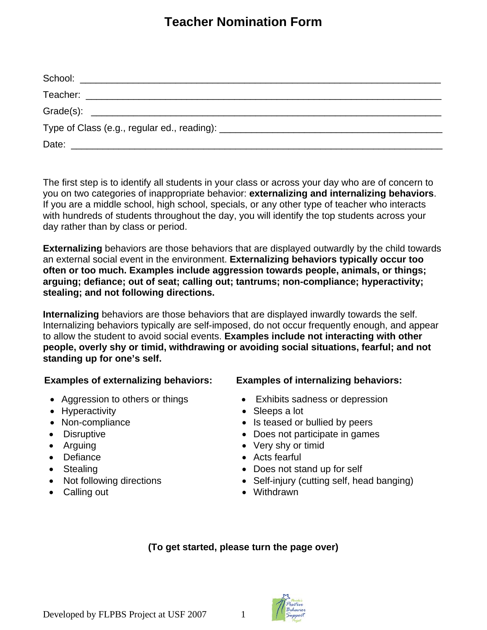## **Teacher Nomination Form**

| Date: the contract of the contract of the contract of the contract of the contract of the contract of the contract of the contract of the contract of the contract of the contract of the contract of the contract of the cont |  |
|--------------------------------------------------------------------------------------------------------------------------------------------------------------------------------------------------------------------------------|--|

The first step is to identify all students in your class or across your day who are of concern to you on two categories of inappropriate behavior: **externalizing and internalizing behaviors**. If you are a middle school, high school, specials, or any other type of teacher who interacts with hundreds of students throughout the day, you will identify the top students across your day rather than by class or period.

**Externalizing** behaviors are those behaviors that are displayed outwardly by the child towards an external social event in the environment. **Externalizing behaviors typically occur too often or too much. Examples include aggression towards people, animals, or things; arguing; defiance; out of seat; calling out; tantrums; non-compliance; hyperactivity; stealing; and not following directions.** 

**Internalizing** behaviors are those behaviors that are displayed inwardly towards the self. Internalizing behaviors typically are self-imposed, do not occur frequently enough, and appear to allow the student to avoid social events. **Examples include not interacting with other people, overly shy or timid, withdrawing or avoiding social situations, fearful; and not standing up for one's self.** 

- 
- Hyperactivity  **Sleeps a lot**
- 
- 
- 
- 
- 
- 
- Calling out Withdrawn

## **Examples of externalizing behaviors: Examples of internalizing behaviors:**

- Aggression to others or things Exhibits sadness or depression
	-
- Non-compliance Is teased or bullied by peers
- Disruptive Does not participate in games
- Arguing  **Community 1997** Very shy or timid
- Defiance Acts fearful
- Stealing Does not stand up for self
- Not following directions Self-injury (cutting self, head banging)
	-

## **(To get started, please turn the page over)**

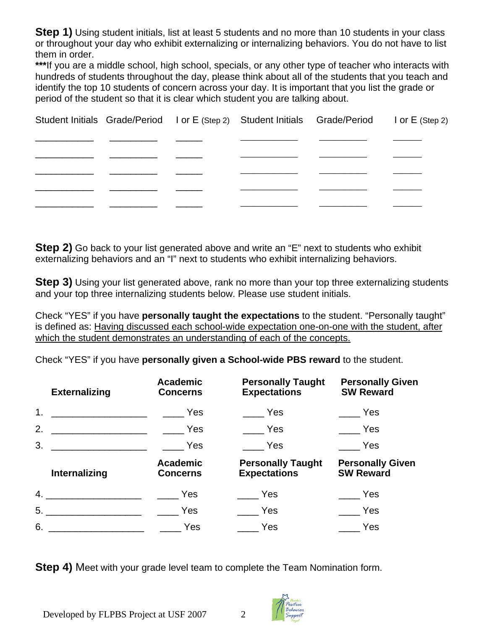**Step 1)** Using student initials, list at least 5 students and no more than 10 students in your class or throughout your day who exhibit externalizing or internalizing behaviors. You do not have to list them in order.

**\*\*\***If you are a middle school, high school, specials, or any other type of teacher who interacts with hundreds of students throughout the day, please think about all of the students that you teach and identify the top 10 students of concern across your day. It is important that you list the grade or period of the student so that it is clear which student you are talking about.

|  |  | Student Initials Grade/Period I or E (Step 2) Student Initials Grade/Period I or E (Step 2) |  |
|--|--|---------------------------------------------------------------------------------------------|--|
|  |  |                                                                                             |  |
|  |  |                                                                                             |  |
|  |  |                                                                                             |  |
|  |  |                                                                                             |  |
|  |  |                                                                                             |  |

**Step 2)** Go back to your list generated above and write an "E" next to students who exhibit externalizing behaviors and an "I" next to students who exhibit internalizing behaviors.

**Step 3)** Using your list generated above, rank no more than your top three externalizing students and your top three internalizing students below. Please use student initials.

Check "YES" if you have **personally taught the expectations** to the student. "Personally taught" is defined as: Having discussed each school-wide expectation one-on-one with the student, after which the student demonstrates an understanding of each of the concepts.

Check "YES" if you have **personally given a School-wide PBS reward** to the student.

|                | <b>Externalizing</b> | <b>Academic</b><br><b>Concerns</b> | <b>Personally Taught</b><br><b>Expectations</b> | <b>Personally Given</b><br><b>SW Reward</b> |
|----------------|----------------------|------------------------------------|-------------------------------------------------|---------------------------------------------|
| 1 <sub>1</sub> |                      |                                    | <b>Parage Yes</b>                               | Yes                                         |
| 2.             |                      |                                    | <b>Paradox</b> Yes                              | <b>Parage Yes</b>                           |
| 3.             |                      | Yes                                | Yes                                             | Yes                                         |
|                |                      |                                    |                                                 |                                             |
|                | Internalizing        | <b>Academic</b><br><b>Concerns</b> | <b>Personally Taught</b><br><b>Expectations</b> | <b>Personally Given</b><br><b>SW Reward</b> |
|                |                      | Yes                                | <b>Parage Yes</b>                               | Yes                                         |
|                |                      | Yes                                | Yes                                             | Yes                                         |

**Step 4)** Meet with your grade level team to complete the Team Nomination form.

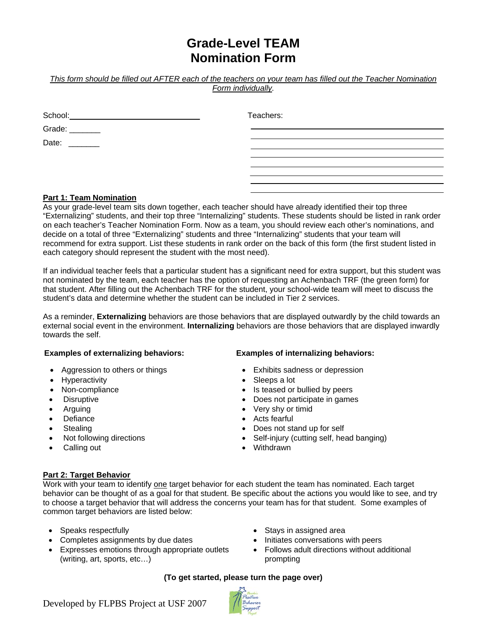## **Grade-Level TEAM Nomination Form**

| This form should be filled out AFTER each of the teachers on your team has filled out the Teacher Nomination |                    |  |  |  |
|--------------------------------------------------------------------------------------------------------------|--------------------|--|--|--|
|                                                                                                              | Form individually. |  |  |  |

| School: | Teachers: |
|---------|-----------|
| Grade:  |           |
| Date:   |           |
|         |           |
|         |           |
|         |           |

#### **Part 1: Team Nomination**

As your grade-level team sits down together, each teacher should have already identified their top three "Externalizing" students, and their top three "Internalizing" students. These students should be listed in rank order on each teacher's Teacher Nomination Form. Now as a team, you should review each other's nominations, and decide on a total of three "Externalizing" students and three "Internalizing" students that your team will recommend for extra support. List these students in rank order on the back of this form (the first student listed in each category should represent the student with the most need).

If an individual teacher feels that a particular student has a significant need for extra support, but this student was not nominated by the team, each teacher has the option of requesting an Achenbach TRF (the green form) for that student. After filling out the Achenbach TRF for the student, your school-wide team will meet to discuss the student's data and determine whether the student can be included in Tier 2 services.

As a reminder, **Externalizing** behaviors are those behaviors that are displayed outwardly by the child towards an external social event in the environment. **Internalizing** behaviors are those behaviors that are displayed inwardly towards the self.

#### **Examples of externalizing behaviors: Examples of internalizing behaviors:**

- 
- Hyperactivity  **Sleeps a lot**
- 
- 
- 
- 
- 
- 
- 

- Aggression to others or things **•** Exhibits sadness or depression
	-
- Non-compliance  **Is teased or bullied by peers**
- Disruptive Does not participate in games
- Arguing Very shy or timid
	- **Defiance Acts fearful**
	- Stealing Does not stand up for self
	- Not following directions Self-injury (cutting self, head banging)
	- **Calling out Withdrawn**

#### **Part 2: Target Behavior**

Work with your team to identify one target behavior for each student the team has nominated. Each target behavior can be thought of as a goal for that student. Be specific about the actions you would like to see, and try to choose a target behavior that will address the concerns your team has for that student. Some examples of common target behaviors are listed below:

- 
- Completes assignments by due dates Initiates conversations with peers
- Expresses emotions through appropriate outlets (writing, art, sports, etc…)
- Speaks respectfully **•** Stays in assigned area
	-
	- Follows adult directions without additional prompting

### **(To get started, please turn the page over)**

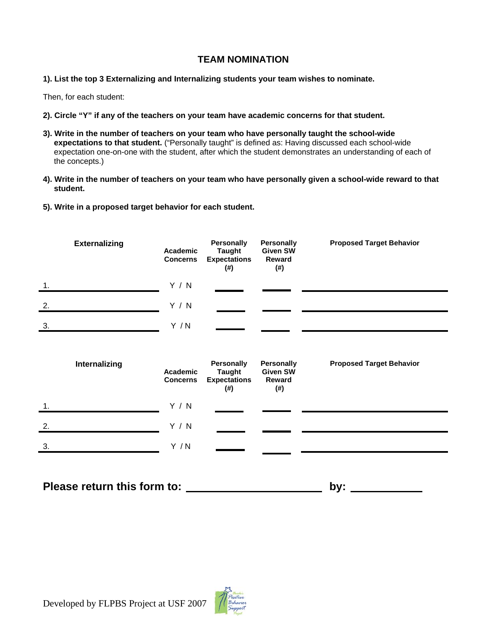### **TEAM NOMINATION**

**1). List the top 3 Externalizing and Internalizing students your team wishes to nominate.** 

Then, for each student:

- **2). Circle "Y" if any of the teachers on your team have academic concerns for that student.**
- **3). Write in the number of teachers on your team who have personally taught the school-wide expectations to that student.** ("Personally taught" is defined as: Having discussed each school-wide expectation one-on-one with the student, after which the student demonstrates an understanding of each of the concepts.)
- **4). Write in the number of teachers on your team who have personally given a school-wide reward to that student.**
- **5). Write in a proposed target behavior for each student.**

|                  | <b>Externalizing</b> | <b>Academic</b><br><b>Concerns</b> | <b>Personally</b><br><b>Taught</b><br><b>Expectations</b><br>(#)       | <b>Personally</b><br><b>Given SW</b><br>Reward<br>(#)    | <b>Proposed Target Behavior</b> |
|------------------|----------------------|------------------------------------|------------------------------------------------------------------------|----------------------------------------------------------|---------------------------------|
| 1.               |                      | Y / N                              |                                                                        |                                                          |                                 |
| 2.               |                      | Y / N                              |                                                                        |                                                          |                                 |
| 3.               |                      | Y/N                                |                                                                        |                                                          |                                 |
|                  | Internalizing        | <b>Academic</b><br><b>Concerns</b> | <b>Personally</b><br><b>Taught</b><br><b>Expectations</b><br>$($ # $)$ | <b>Personally</b><br><b>Given SW</b><br>Reward<br>$(\#)$ | <b>Proposed Target Behavior</b> |
| 1.               |                      | Y / N                              |                                                                        |                                                          |                                 |
|                  |                      | Y / N                              |                                                                        |                                                          |                                 |
| $\overline{2}$ . |                      |                                    |                                                                        |                                                          |                                 |
| 3.               |                      | Y/N                                |                                                                        |                                                          |                                 |

| Please return this form to: | bv: |
|-----------------------------|-----|
|-----------------------------|-----|